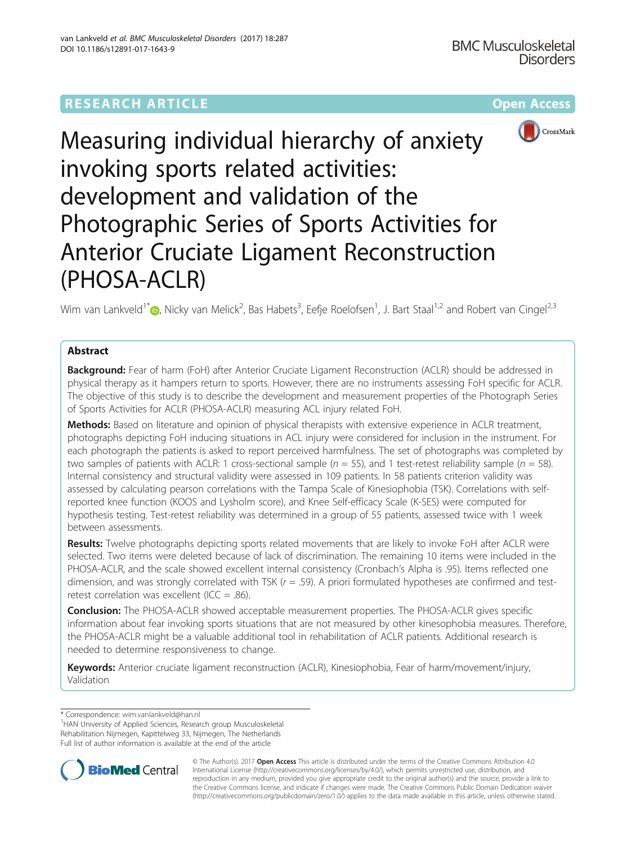## **RESEARCH ARTICLE Example 2014 12:30 The Community Community Community Community Community Community Community**



# Measuring individual hierarchy of anxiety invoking sports related activities: development and validation of the Photographic Series of Sports Activities for Anterior Cruciate Ligament Reconstruction (PHOSA-ACLR)

Wim van Lankveld<sup>1\*</sup>�, Nicky van Melick<sup>2</sup>, Bas Habets<sup>3</sup>, Eefje Roelofsen<sup>1</sup>, J. Bart Staal<sup>1,2</sup> and Robert van Cingel<sup>2,3</sup>

## Abstract

Background: Fear of harm (FoH) after Anterior Cruciate Ligament Reconstruction (ACLR) should be addressed in physical therapy as it hampers return to sports. However, there are no instruments assessing FoH specific for ACLR. The objective of this study is to describe the development and measurement properties of the Photograph Series of Sports Activities for ACLR (PHOSA-ACLR) measuring ACL injury related FoH.

Methods: Based on literature and opinion of physical therapists with extensive experience in ACLR treatment, photographs depicting FoH inducing situations in ACL injury were considered for inclusion in the instrument. For each photograph the patients is asked to report perceived harmfulness. The set of photographs was completed by two samples of patients with ACLR: 1 cross-sectional sample ( $n = 55$ ), and 1 test-retest reliability sample ( $n = 58$ ). Internal consistency and structural validity were assessed in 109 patients. In 58 patients criterion validity was assessed by calculating pearson correlations with the Tampa Scale of Kinesiophobia (TSK). Correlations with selfreported knee function (KOOS and Lysholm score), and Knee Self-efficacy Scale (K-SES) were computed for hypothesis testing. Test-retest reliability was determined in a group of 55 patients, assessed twice with 1 week between assessments.

Results: Twelve photographs depicting sports related movements that are likely to invoke FoH after ACLR were selected. Two items were deleted because of lack of discrimination. The remaining 10 items were included in the PHOSA-ACLR, and the scale showed excellent internal consistency (Cronbach's Alpha is .95). Items reflected one dimension, and was strongly correlated with TSK  $(r = .59)$ . A priori formulated hypotheses are confirmed and testretest correlation was excellent (ICC = .86).

Conclusion: The PHOSA-ACLR showed acceptable measurement properties. The PHOSA-ACLR gives specific information about fear invoking sports situations that are not measured by other kinesophobia measures. Therefore, the PHOSA-ACLR might be a valuable additional tool in rehabilitation of ACLR patients. Additional research is needed to determine responsiveness to change.

Keywords: Anterior cruciate ligament reconstruction (ACLR), Kinesiophobia, Fear of harm/movement/injury, Validation

\* Correspondence: [wim.vanlankveld@han.nl](mailto:wim.vanlankveld@han.nl) <sup>1</sup>

<sup>1</sup>HAN University of Applied Sciences, Research group Musculoskeletal Rehabilitation Nijmegen, Kapittelweg 33, Nijmegen, The Netherlands Full list of author information is available at the end of the article



© The Author(s). 2017 **Open Access** This article is distributed under the terms of the Creative Commons Attribution 4.0 International License [\(http://creativecommons.org/licenses/by/4.0/](http://creativecommons.org/licenses/by/4.0/)), which permits unrestricted use, distribution, and reproduction in any medium, provided you give appropriate credit to the original author(s) and the source, provide a link to the Creative Commons license, and indicate if changes were made. The Creative Commons Public Domain Dedication waiver [\(http://creativecommons.org/publicdomain/zero/1.0/](http://creativecommons.org/publicdomain/zero/1.0/)) applies to the data made available in this article, unless otherwise stated.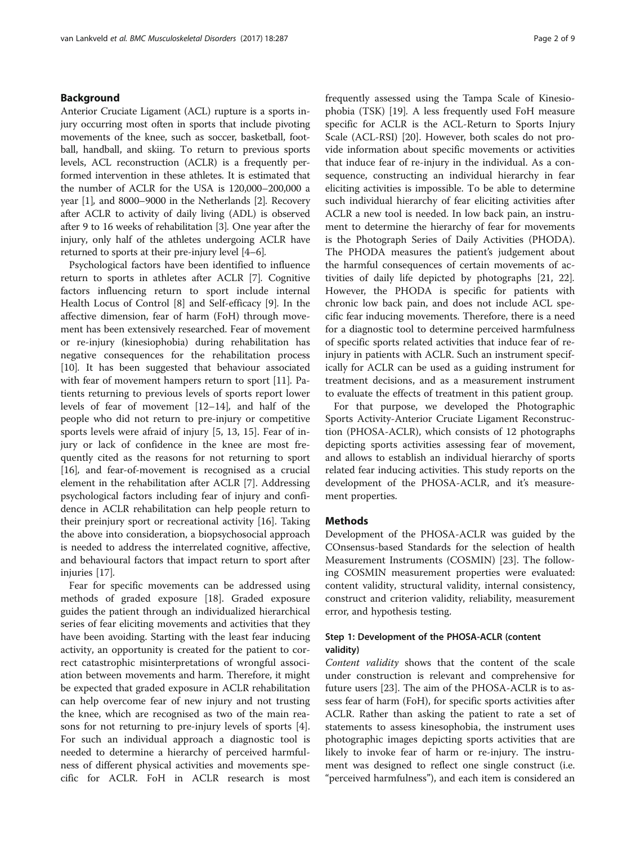## Background

Anterior Cruciate Ligament (ACL) rupture is a sports injury occurring most often in sports that include pivoting movements of the knee, such as soccer, basketball, football, handball, and skiing. To return to previous sports levels, ACL reconstruction (ACLR) is a frequently performed intervention in these athletes. It is estimated that the number of ACLR for the USA is 120,000–200,000 a year [[1](#page-7-0)], and 8000–9000 in the Netherlands [[2\]](#page-7-0). Recovery after ACLR to activity of daily living (ADL) is observed after 9 to 16 weeks of rehabilitation [[3\]](#page-7-0). One year after the injury, only half of the athletes undergoing ACLR have returned to sports at their pre-injury level [\[4](#page-7-0)–[6\]](#page-7-0).

Psychological factors have been identified to influence return to sports in athletes after ACLR [\[7](#page-7-0)]. Cognitive factors influencing return to sport include internal Health Locus of Control [[8\]](#page-7-0) and Self-efficacy [\[9](#page-7-0)]. In the affective dimension, fear of harm (FoH) through movement has been extensively researched. Fear of movement or re-injury (kinesiophobia) during rehabilitation has negative consequences for the rehabilitation process [[10\]](#page-7-0). It has been suggested that behaviour associated with fear of movement hampers return to sport [[11\]](#page-7-0). Patients returning to previous levels of sports report lower levels of fear of movement [[12](#page-7-0)–[14](#page-7-0)], and half of the people who did not return to pre-injury or competitive sports levels were afraid of injury [[5, 13](#page-7-0), [15\]](#page-7-0). Fear of injury or lack of confidence in the knee are most frequently cited as the reasons for not returning to sport [[16\]](#page-7-0), and fear-of-movement is recognised as a crucial element in the rehabilitation after ACLR [\[7](#page-7-0)]. Addressing psychological factors including fear of injury and confidence in ACLR rehabilitation can help people return to their preinjury sport or recreational activity [\[16](#page-7-0)]. Taking the above into consideration, a biopsychosocial approach is needed to address the interrelated cognitive, affective, and behavioural factors that impact return to sport after injuries [[17\]](#page-7-0).

Fear for specific movements can be addressed using methods of graded exposure [[18\]](#page-7-0). Graded exposure guides the patient through an individualized hierarchical series of fear eliciting movements and activities that they have been avoiding. Starting with the least fear inducing activity, an opportunity is created for the patient to correct catastrophic misinterpretations of wrongful association between movements and harm. Therefore, it might be expected that graded exposure in ACLR rehabilitation can help overcome fear of new injury and not trusting the knee, which are recognised as two of the main reasons for not returning to pre-injury levels of sports [\[4](#page-7-0)]. For such an individual approach a diagnostic tool is needed to determine a hierarchy of perceived harmfulness of different physical activities and movements specific for ACLR. FoH in ACLR research is most frequently assessed using the Tampa Scale of Kinesiophobia (TSK) [[19](#page-7-0)]. A less frequently used FoH measure specific for ACLR is the ACL-Return to Sports Injury Scale (ACL-RSI) [[20](#page-7-0)]. However, both scales do not provide information about specific movements or activities that induce fear of re-injury in the individual. As a consequence, constructing an individual hierarchy in fear eliciting activities is impossible. To be able to determine such individual hierarchy of fear eliciting activities after ACLR a new tool is needed. In low back pain, an instrument to determine the hierarchy of fear for movements is the Photograph Series of Daily Activities (PHODA). The PHODA measures the patient's judgement about the harmful consequences of certain movements of activities of daily life depicted by photographs [\[21](#page-7-0), [22](#page-7-0)]. However, the PHODA is specific for patients with chronic low back pain, and does not include ACL specific fear inducing movements. Therefore, there is a need for a diagnostic tool to determine perceived harmfulness of specific sports related activities that induce fear of reinjury in patients with ACLR. Such an instrument specifically for ACLR can be used as a guiding instrument for treatment decisions, and as a measurement instrument to evaluate the effects of treatment in this patient group.

For that purpose, we developed the Photographic Sports Activity-Anterior Cruciate Ligament Reconstruction (PHOSA-ACLR), which consists of 12 photographs depicting sports activities assessing fear of movement, and allows to establish an individual hierarchy of sports related fear inducing activities. This study reports on the development of the PHOSA-ACLR, and it's measurement properties.

#### Methods

Development of the PHOSA-ACLR was guided by the COnsensus-based Standards for the selection of health Measurement Instruments (COSMIN) [[23\]](#page-7-0). The following COSMIN measurement properties were evaluated: content validity, structural validity, internal consistency, construct and criterion validity, reliability, measurement error, and hypothesis testing.

### Step 1: Development of the PHOSA-ACLR (content validity)

Content validity shows that the content of the scale under construction is relevant and comprehensive for future users [[23](#page-7-0)]. The aim of the PHOSA-ACLR is to assess fear of harm (FoH), for specific sports activities after ACLR. Rather than asking the patient to rate a set of statements to assess kinesophobia, the instrument uses photographic images depicting sports activities that are likely to invoke fear of harm or re-injury. The instrument was designed to reflect one single construct (i.e. "perceived harmfulness"), and each item is considered an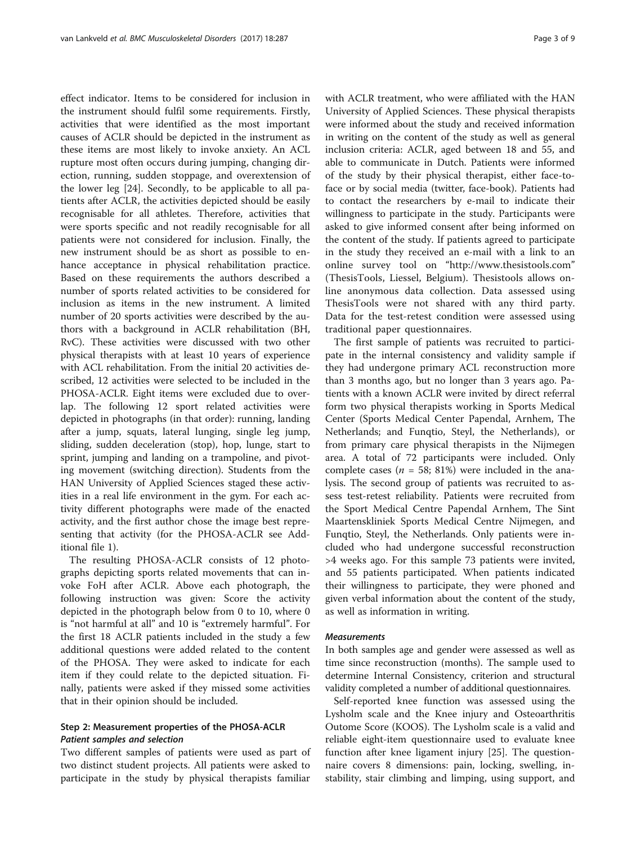effect indicator. Items to be considered for inclusion in the instrument should fulfil some requirements. Firstly, activities that were identified as the most important causes of ACLR should be depicted in the instrument as these items are most likely to invoke anxiety. An ACL rupture most often occurs during jumping, changing direction, running, sudden stoppage, and overextension of the lower leg [\[24\]](#page-7-0). Secondly, to be applicable to all patients after ACLR, the activities depicted should be easily recognisable for all athletes. Therefore, activities that were sports specific and not readily recognisable for all patients were not considered for inclusion. Finally, the new instrument should be as short as possible to enhance acceptance in physical rehabilitation practice. Based on these requirements the authors described a number of sports related activities to be considered for inclusion as items in the new instrument. A limited number of 20 sports activities were described by the authors with a background in ACLR rehabilitation (BH, RvC). These activities were discussed with two other physical therapists with at least 10 years of experience with ACL rehabilitation. From the initial 20 activities described, 12 activities were selected to be included in the PHOSA-ACLR. Eight items were excluded due to overlap. The following 12 sport related activities were depicted in photographs (in that order): running, landing after a jump, squats, lateral lunging, single leg jump, sliding, sudden deceleration (stop), hop, lunge, start to sprint, jumping and landing on a trampoline, and pivoting movement (switching direction). Students from the HAN University of Applied Sciences staged these activities in a real life environment in the gym. For each activity different photographs were made of the enacted activity, and the first author chose the image best representing that activity (for the PHOSA-ACLR see Additional file [1\)](#page-6-0).

The resulting PHOSA-ACLR consists of 12 photographs depicting sports related movements that can invoke FoH after ACLR. Above each photograph, the following instruction was given: Score the activity depicted in the photograph below from 0 to 10, where 0 is "not harmful at all" and 10 is "extremely harmful". For the first 18 ACLR patients included in the study a few additional questions were added related to the content of the PHOSA. They were asked to indicate for each item if they could relate to the depicted situation. Finally, patients were asked if they missed some activities that in their opinion should be included.

## Step 2: Measurement properties of the PHOSA-ACLR Patient samples and selection

Two different samples of patients were used as part of two distinct student projects. All patients were asked to participate in the study by physical therapists familiar

with ACLR treatment, who were affiliated with the HAN University of Applied Sciences. These physical therapists were informed about the study and received information in writing on the content of the study as well as general inclusion criteria: ACLR, aged between 18 and 55, and able to communicate in Dutch. Patients were informed of the study by their physical therapist, either face-toface or by social media (twitter, face-book). Patients had to contact the researchers by e-mail to indicate their willingness to participate in the study. Participants were asked to give informed consent after being informed on the content of the study. If patients agreed to participate in the study they received an e-mail with a link to an online survey tool on "<http://www.thesistools.com>" (ThesisTools, Liessel, Belgium). Thesistools allows online anonymous data collection. Data assessed using ThesisTools were not shared with any third party. Data for the test-retest condition were assessed using traditional paper questionnaires.

The first sample of patients was recruited to participate in the internal consistency and validity sample if they had undergone primary ACL reconstruction more than 3 months ago, but no longer than 3 years ago. Patients with a known ACLR were invited by direct referral form two physical therapists working in Sports Medical Center (Sports Medical Center Papendal, Arnhem, The Netherlands; and Funqtio, Steyl, the Netherlands), or from primary care physical therapists in the Nijmegen area. A total of 72 participants were included. Only complete cases ( $n = 58$ ; 81%) were included in the analysis. The second group of patients was recruited to assess test-retest reliability. Patients were recruited from the Sport Medical Centre Papendal Arnhem, The Sint Maartenskliniek Sports Medical Centre Nijmegen, and Funqtio, Steyl, the Netherlands. Only patients were included who had undergone successful reconstruction >4 weeks ago. For this sample 73 patients were invited, and 55 patients participated. When patients indicated their willingness to participate, they were phoned and given verbal information about the content of the study, as well as information in writing.

#### Measurements

In both samples age and gender were assessed as well as time since reconstruction (months). The sample used to determine Internal Consistency, criterion and structural validity completed a number of additional questionnaires.

Self-reported knee function was assessed using the Lysholm scale and the Knee injury and Osteoarthritis Outome Score (KOOS). The Lysholm scale is a valid and reliable eight-item questionnaire used to evaluate knee function after knee ligament injury [\[25](#page-7-0)]. The questionnaire covers 8 dimensions: pain, locking, swelling, instability, stair climbing and limping, using support, and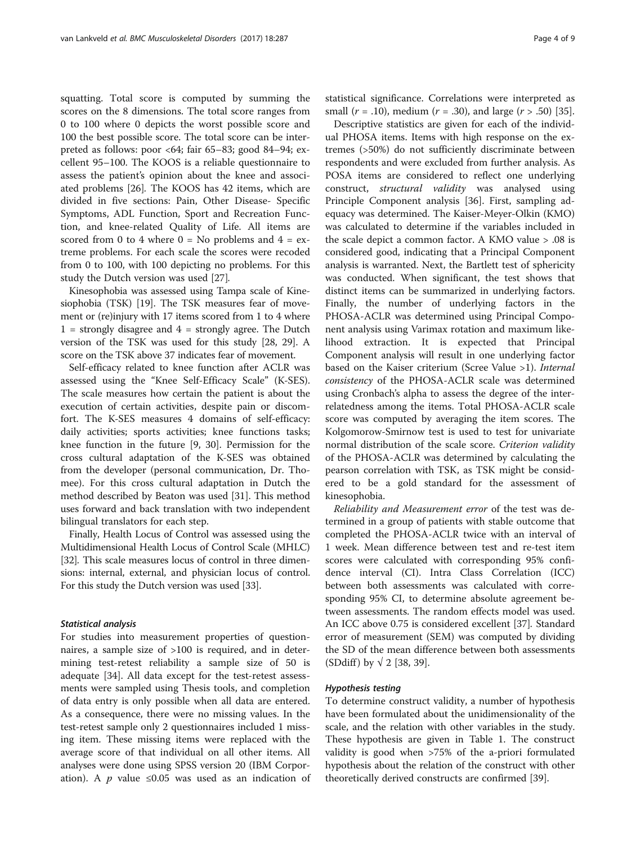squatting. Total score is computed by summing the scores on the 8 dimensions. The total score ranges from 0 to 100 where 0 depicts the worst possible score and 100 the best possible score. The total score can be interpreted as follows: poor <64; fair 65–83; good 84–94; excellent 95–100. The KOOS is a reliable questionnaire to assess the patient's opinion about the knee and associated problems [\[26](#page-7-0)]. The KOOS has 42 items, which are divided in five sections: Pain, Other Disease- Specific Symptoms, ADL Function, Sport and Recreation Function, and knee-related Quality of Life. All items are scored from 0 to 4 where  $0 = No$  problems and  $4 = ex$ treme problems. For each scale the scores were recoded from 0 to 100, with 100 depicting no problems. For this study the Dutch version was used [[27\]](#page-7-0).

Kinesophobia was assessed using Tampa scale of Kinesiophobia (TSK) [[19\]](#page-7-0). The TSK measures fear of movement or (re)injury with 17 items scored from 1 to 4 where  $1 =$  strongly disagree and  $4 =$  strongly agree. The Dutch version of the TSK was used for this study [\[28,](#page-7-0) [29\]](#page-8-0). A score on the TSK above 37 indicates fear of movement.

Self-efficacy related to knee function after ACLR was assessed using the "Knee Self-Efficacy Scale" (K-SES). The scale measures how certain the patient is about the execution of certain activities, despite pain or discomfort. The K-SES measures 4 domains of self-efficacy: daily activities; sports activities; knee functions tasks; knee function in the future [\[9,](#page-7-0) [30](#page-8-0)]. Permission for the cross cultural adaptation of the K-SES was obtained from the developer (personal communication, Dr. Thomee). For this cross cultural adaptation in Dutch the method described by Beaton was used [[31\]](#page-8-0). This method uses forward and back translation with two independent bilingual translators for each step.

Finally, Health Locus of Control was assessed using the Multidimensional Health Locus of Control Scale (MHLC) [[32](#page-8-0)]. This scale measures locus of control in three dimensions: internal, external, and physician locus of control. For this study the Dutch version was used [[33\]](#page-8-0).

#### Statistical analysis

For studies into measurement properties of questionnaires, a sample size of >100 is required, and in determining test-retest reliability a sample size of 50 is adequate [\[34](#page-8-0)]. All data except for the test-retest assessments were sampled using Thesis tools, and completion of data entry is only possible when all data are entered. As a consequence, there were no missing values. In the test-retest sample only 2 questionnaires included 1 missing item. These missing items were replaced with the average score of that individual on all other items. All analyses were done using SPSS version 20 (IBM Corporation). A p value  $\leq 0.05$  was used as an indication of statistical significance. Correlations were interpreted as small ( $r = .10$ ), medium ( $r = .30$ ), and large ( $r > .50$ ) [\[35](#page-8-0)].

Descriptive statistics are given for each of the individual PHOSA items. Items with high response on the extremes (>50%) do not sufficiently discriminate between respondents and were excluded from further analysis. As POSA items are considered to reflect one underlying construct, structural validity was analysed using Principle Component analysis [[36](#page-8-0)]. First, sampling adequacy was determined. The Kaiser-Meyer-Olkin (KMO) was calculated to determine if the variables included in the scale depict a common factor. A KMO value > .08 is considered good, indicating that a Principal Component analysis is warranted. Next, the Bartlett test of sphericity was conducted. When significant, the test shows that distinct items can be summarized in underlying factors. Finally, the number of underlying factors in the PHOSA-ACLR was determined using Principal Component analysis using Varimax rotation and maximum likelihood extraction. It is expected that Principal Component analysis will result in one underlying factor based on the Kaiser criterium (Scree Value >1). Internal consistency of the PHOSA-ACLR scale was determined using Cronbach's alpha to assess the degree of the interrelatedness among the items. Total PHOSA-ACLR scale score was computed by averaging the item scores. The Kolgomorow-Smirnow test is used to test for univariate normal distribution of the scale score. Criterion validity of the PHOSA-ACLR was determined by calculating the pearson correlation with TSK, as TSK might be considered to be a gold standard for the assessment of kinesophobia.

Reliability and Measurement error of the test was determined in a group of patients with stable outcome that completed the PHOSA-ACLR twice with an interval of 1 week. Mean difference between test and re-test item scores were calculated with corresponding 95% confidence interval (CI). Intra Class Correlation (ICC) between both assessments was calculated with corresponding 95% CI, to determine absolute agreement between assessments. The random effects model was used. An ICC above 0.75 is considered excellent [\[37\]](#page-8-0). Standard error of measurement (SEM) was computed by dividing the SD of the mean difference between both assessments (SDdiff) by  $\sqrt{2}$  [[38](#page-8-0), [39](#page-8-0)].

#### Hypothesis testing

To determine construct validity, a number of hypothesis have been formulated about the unidimensionality of the scale, and the relation with other variables in the study. These hypothesis are given in Table [1.](#page-4-0) The construct validity is good when >75% of the a-priori formulated hypothesis about the relation of the construct with other theoretically derived constructs are confirmed [\[39](#page-8-0)].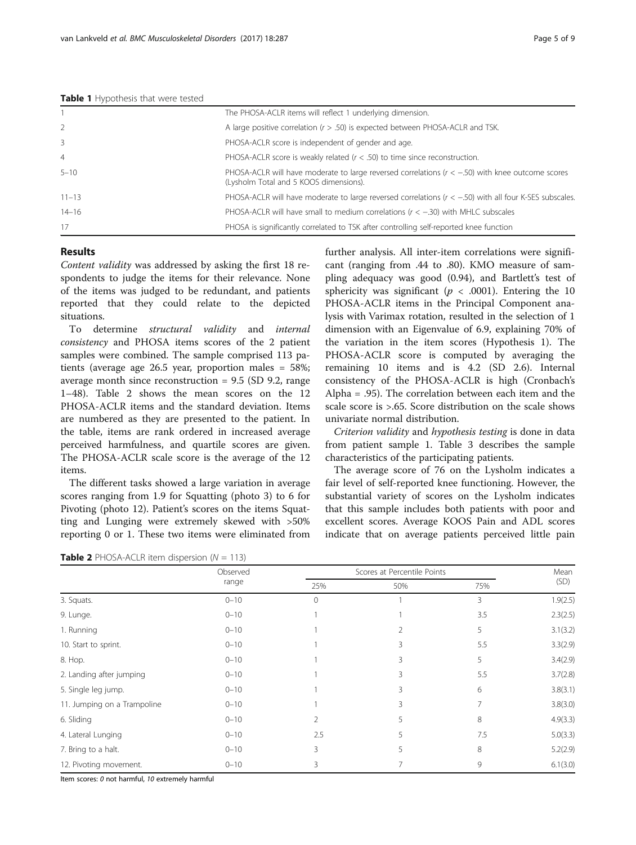| rage |
|------|
|      |

<span id="page-4-0"></span>

|                | The PHOSA-ACLR items will reflect 1 underlying dimension.                                                                                       |
|----------------|-------------------------------------------------------------------------------------------------------------------------------------------------|
| $\overline{z}$ | A large positive correlation ( $r > .50$ ) is expected between PHOSA-ACLR and TSK.                                                              |
| -3             | PHOSA-ACLR score is independent of gender and age.                                                                                              |
| $\overline{4}$ | PHOSA-ACLR score is weakly related ( $r < .50$ ) to time since reconstruction.                                                                  |
| $5 - 10$       | PHOSA-ACLR will have moderate to large reversed correlations ( $r < -0.50$ ) with knee outcome scores<br>(Lysholm Total and 5 KOOS dimensions). |
| $11 - 13$      | PHOSA-ACLR will have moderate to large reversed correlations ( $r < -0.50$ ) with all four K-SES subscales.                                     |
| $14 - 16$      | PHOSA-ACLR will have small to medium correlations ( $r < -30$ ) with MHLC subscales                                                             |
| 17             | PHOSA is significantly correlated to TSK after controlling self-reported knee function                                                          |

## Results

Content validity was addressed by asking the first 18 respondents to judge the items for their relevance. None of the items was judged to be redundant, and patients reported that they could relate to the depicted situations.

To determine structural validity and internal consistency and PHOSA items scores of the 2 patient samples were combined. The sample comprised 113 patients (average age 26.5 year, proportion males = 58%; average month since reconstruction  $= 9.5$  (SD 9.2, range 1–48). Table 2 shows the mean scores on the 12 PHOSA-ACLR items and the standard deviation. Items are numbered as they are presented to the patient. In the table, items are rank ordered in increased average perceived harmfulness, and quartile scores are given. The PHOSA-ACLR scale score is the average of the 12 items.

The different tasks showed a large variation in average scores ranging from 1.9 for Squatting (photo 3) to 6 for Pivoting (photo 12). Patient's scores on the items Squatting and Lunging were extremely skewed with >50% reporting 0 or 1. These two items were eliminated from

**Table 2** PHOSA-ACLR item dispersion ( $N = 113$ )

further analysis. All inter-item correlations were significant (ranging from .44 to .80). KMO measure of sampling adequacy was good (0.94), and Bartlett's test of sphericity was significant ( $p < .0001$ ). Entering the 10 PHOSA-ACLR items in the Principal Component analysis with Varimax rotation, resulted in the selection of 1 dimension with an Eigenvalue of 6.9, explaining 70% of the variation in the item scores (Hypothesis 1). The PHOSA-ACLR score is computed by averaging the remaining 10 items and is 4.2 (SD 2.6). Internal consistency of the PHOSA-ACLR is high (Cronbach's Alpha = .95). The correlation between each item and the scale score is >.65. Score distribution on the scale shows univariate normal distribution.

Criterion validity and hypothesis testing is done in data from patient sample 1. Table [3](#page-5-0) describes the sample characteristics of the participating patients.

The average score of 76 on the Lysholm indicates a fair level of self-reported knee functioning. However, the substantial variety of scores on the Lysholm indicates that this sample includes both patients with poor and excellent scores. Average KOOS Pain and ADL scores indicate that on average patients perceived little pain

|                             | Observed<br>range | Scores at Percentile Points |     | Mean |          |
|-----------------------------|-------------------|-----------------------------|-----|------|----------|
|                             |                   | 25%                         | 50% | 75%  | (SD)     |
| 3. Squats.                  | $0 - 10$          | $\Omega$                    |     | 3    | 1.9(2.5) |
| 9. Lunge.                   | $0 - 10$          |                             |     | 3.5  | 2.3(2.5) |
| 1. Running                  | $0 - 10$          |                             | 2   | 5    | 3.1(3.2) |
| 10. Start to sprint.        | $0 - 10$          |                             | 3   | 5.5  | 3.3(2.9) |
| 8. Hop.                     | $0 - 10$          |                             | 3   | 5    | 3.4(2.9) |
| 2. Landing after jumping    | $0 - 10$          |                             | 3   | 5.5  | 3.7(2.8) |
| 5. Single leg jump.         | $0 - 10$          |                             | 3   | 6    | 3.8(3.1) |
| 11. Jumping on a Trampoline | $0 - 10$          |                             | 3   |      | 3.8(3.0) |
| 6. Sliding                  | $0 - 10$          | 2                           | 5   | 8    | 4.9(3.3) |
| 4. Lateral Lunging          | $0 - 10$          | 2.5                         | 5   | 7.5  | 5.0(3.3) |
| 7. Bring to a halt.         | $0 - 10$          | 3                           | 5   | 8    | 5.2(2.9) |
| 12. Pivoting movement.      | $0 - 10$          | 3                           | 7   | 9    | 6.1(3.0) |

Item scores: 0 not harmful, 10 extremely harmful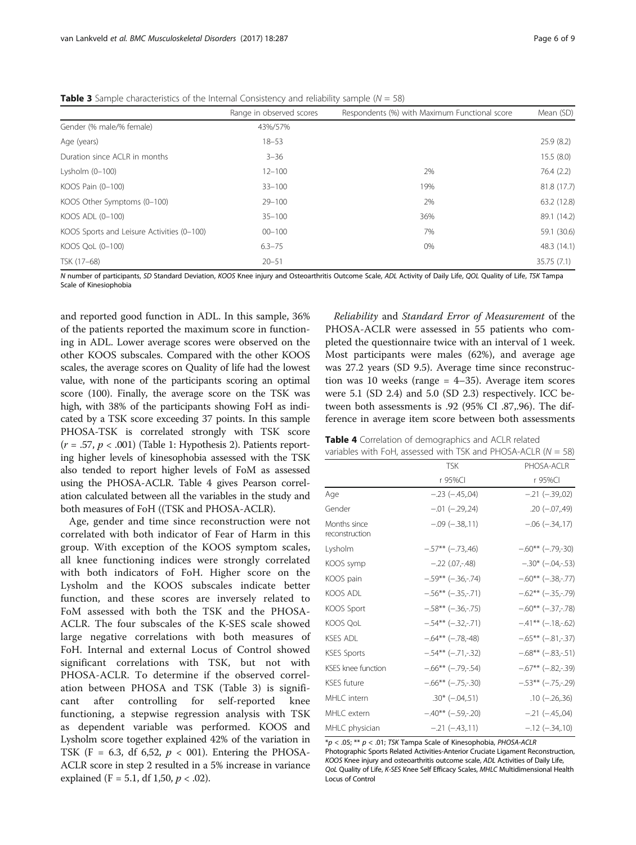|                                            | Range in observed scores | Respondents (%) with Maximum Functional score | Mean (SD)   |
|--------------------------------------------|--------------------------|-----------------------------------------------|-------------|
| Gender (% male/% female)                   | 43%/57%                  |                                               |             |
| Age (years)                                | $18 - 53$                |                                               | 25.9(8.2)   |
| Duration since ACLR in months              | $3 - 36$                 |                                               | 15.5(8.0)   |
| Lysholm $(0-100)$                          | $12 - 100$               | 2%                                            | 76.4(2.2)   |
| KOOS Pain (0-100)                          | $33 - 100$               | 19%                                           | 81.8 (17.7) |
| KOOS Other Symptoms (0-100)                | $29 - 100$               | 2%                                            | 63.2 (12.8) |
| KOOS ADL (0-100)                           | $35 - 100$               | 36%                                           | 89.1 (14.2) |
| KOOS Sports and Leisure Activities (0-100) | $00 - 100$               | 7%                                            | 59.1 (30.6) |
| KOOS QoL (0-100)                           | $6.3 - 75$               | 0%                                            | 48.3 (14.1) |
| TSK (17-68)                                | $20 - 51$                |                                               | 35.75(7.1)  |

<span id="page-5-0"></span>**Table 3** Sample characteristics of the Internal Consistency and reliability sample ( $N = 58$ )

N number of participants, SD Standard Deviation, KOOS Knee injury and Osteoarthritis Outcome Scale, ADL Activity of Daily Life, QOL Quality of Life, TSK Tampa Scale of Kinesiophobia

and reported good function in ADL. In this sample, 36% of the patients reported the maximum score in functioning in ADL. Lower average scores were observed on the other KOOS subscales. Compared with the other KOOS scales, the average scores on Quality of life had the lowest value, with none of the participants scoring an optimal score (100). Finally, the average score on the TSK was high, with 38% of the participants showing FoH as indicated by a TSK score exceeding 37 points. In this sample PHOSA-TSK is correlated strongly with TSK score  $(r = .57, p < .001)$  (Table [1:](#page-4-0) Hypothesis 2). Patients reporting higher levels of kinesophobia assessed with the TSK also tended to report higher levels of FoM as assessed using the PHOSA-ACLR. Table 4 gives Pearson correlation calculated between all the variables in the study and both measures of FoH ((TSK and PHOSA-ACLR).

Age, gender and time since reconstruction were not correlated with both indicator of Fear of Harm in this group. With exception of the KOOS symptom scales, all knee functioning indices were strongly correlated with both indicators of FoH. Higher score on the Lysholm and the KOOS subscales indicate better function, and these scores are inversely related to FoM assessed with both the TSK and the PHOSA-ACLR. The four subscales of the K-SES scale showed large negative correlations with both measures of FoH. Internal and external Locus of Control showed significant correlations with TSK, but not with PHOSA-ACLR. To determine if the observed correlation between PHOSA and TSK (Table 3) is significant after controlling for self-reported knee functioning, a stepwise regression analysis with TSK as dependent variable was performed. KOOS and Lysholm score together explained 42% of the variation in TSK (F = 6.3, df 6,52,  $p < 001$ ). Entering the PHOSA-ACLR score in step 2 resulted in a 5% increase in variance explained (F = 5.1, df 1,50,  $p < .02$ ).

Reliability and Standard Error of Measurement of the PHOSA-ACLR were assessed in 55 patients who completed the questionnaire twice with an interval of 1 week. Most participants were males (62%), and average age was 27.2 years (SD 9.5). Average time since reconstruction was 10 weeks (range  $=$  4–35). Average item scores were 5.1 (SD 2.4) and 5.0 (SD 2.3) respectively. ICC between both assessments is .92 (95% CI .87,.96). The difference in average item score between both assessments

| Table 4 Correlation of demographics and ACLR related |  |  |
|------------------------------------------------------|--|--|
|------------------------------------------------------|--|--|

| variables with FoH, assessed with TSK and PHOSA-ACLR ( $N = 58$ ) |                       |                       |  |
|-------------------------------------------------------------------|-----------------------|-----------------------|--|
|                                                                   | <b>TSK</b>            | PHOSA-ACLR            |  |
|                                                                   | r 95%Cl               | r 95%Cl               |  |
| Age                                                               | $-.23 (-.45, .04)$    | $-.21 (-.39, .02)$    |  |
| Gender                                                            | $-.01 (-.29, 24)$     | $.20 (-.07, .49)$     |  |
| Months since<br>reconstruction                                    | $-.09(-.38,11)$       | $-.06 (-.34, 17)$     |  |
| Lysholm                                                           | $-57***$ (-.73,46)    | $-.60**(-.79,-30)$    |  |
| KOOS symp                                                         | $-.22$ (.07, -.48)    | $-.30*(-.04,-.53)$    |  |
| KOOS pain                                                         | $-.59***(-.36,-.74)$  | $-.60**(-.38,-.77)$   |  |
| <b>KOOS ADL</b>                                                   | $-.56***(-.35,-.71)$  | $-.62** (-.35,-.79)$  |  |
| <b>KOOS Sport</b>                                                 | $-.58** (-.36,-.75)$  | $-.60** (-.37,-.78)$  |  |
| KOOS OoL                                                          | $-.54***(-.32,-.71)$  | $-.41***(-.18,-.62)$  |  |
| <b>KSES ADL</b>                                                   | $-.64***(-.78,-48)$   | $-.65***(-.81,-.37)$  |  |
| <b>KSES Sports</b>                                                | $-.54*** (-.71,-.32)$ | $-.68**(-.83,-.51)$   |  |
| KSES knee function                                                | $-.66***(-.79,-.54)$  | $-.67** (-.82,-.39)$  |  |
| <b>KSES</b> future                                                | $-.66***(-.75,-.30)$  | $-.53***(-.75,-.29)$  |  |
| MHLC intern                                                       | $.30*(-.04,51)$       | $.10$ ( $-.26, .36$ ) |  |
| MHLC extern                                                       | $-.40** (-.59,-.20)$  | $-.21 (-.45, .04)$    |  |
| MHLC physician                                                    | $-.21 (-.43, 11)$     | $-.12 (-.34, 10)$     |  |

 $*p$  < .05;  $**$   $p$  < .01; TSK Tampa Scale of Kinesophobia, PHOSA-ACLR Photographic Sports Related Activities-Anterior Cruciate Ligament Reconstruction, KOOS Knee injury and osteoarthritis outcome scale, ADL Activities of Daily Life, QoL Quality of Life, K-SES Knee Self Efficacy Scales, MHLC Multidimensional Health Locus of Control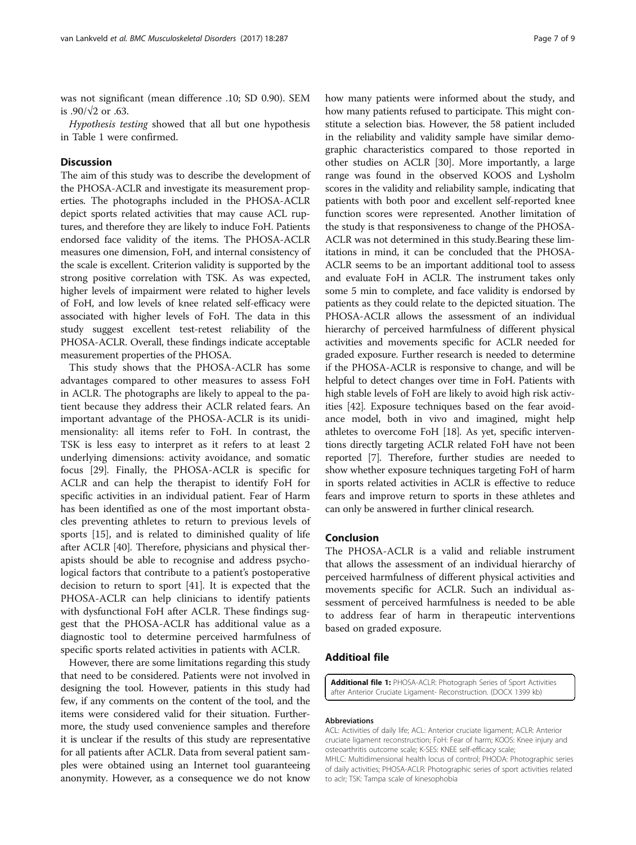<span id="page-6-0"></span>was not significant (mean difference .10; SD 0.90). SEM is .90/ $\sqrt{2}$  or .63.

Hypothesis testing showed that all but one hypothesis in Table [1](#page-4-0) were confirmed.

## **Discussion**

The aim of this study was to describe the development of the PHOSA-ACLR and investigate its measurement properties. The photographs included in the PHOSA-ACLR depict sports related activities that may cause ACL ruptures, and therefore they are likely to induce FoH. Patients endorsed face validity of the items. The PHOSA-ACLR measures one dimension, FoH, and internal consistency of the scale is excellent. Criterion validity is supported by the strong positive correlation with TSK. As was expected, higher levels of impairment were related to higher levels of FoH, and low levels of knee related self-efficacy were associated with higher levels of FoH. The data in this study suggest excellent test-retest reliability of the PHOSA-ACLR. Overall, these findings indicate acceptable measurement properties of the PHOSA.

This study shows that the PHOSA-ACLR has some advantages compared to other measures to assess FoH in ACLR. The photographs are likely to appeal to the patient because they address their ACLR related fears. An important advantage of the PHOSA-ACLR is its unidimensionality: all items refer to FoH. In contrast, the TSK is less easy to interpret as it refers to at least 2 underlying dimensions: activity avoidance, and somatic focus [\[29](#page-8-0)]. Finally, the PHOSA-ACLR is specific for ACLR and can help the therapist to identify FoH for specific activities in an individual patient. Fear of Harm has been identified as one of the most important obstacles preventing athletes to return to previous levels of sports [\[15\]](#page-7-0), and is related to diminished quality of life after ACLR [\[40\]](#page-8-0). Therefore, physicians and physical therapists should be able to recognise and address psychological factors that contribute to a patient's postoperative decision to return to sport [\[41\]](#page-8-0). It is expected that the PHOSA-ACLR can help clinicians to identify patients with dysfunctional FoH after ACLR. These findings suggest that the PHOSA-ACLR has additional value as a diagnostic tool to determine perceived harmfulness of specific sports related activities in patients with ACLR.

However, there are some limitations regarding this study that need to be considered. Patients were not involved in designing the tool. However, patients in this study had few, if any comments on the content of the tool, and the items were considered valid for their situation. Furthermore, the study used convenience samples and therefore it is unclear if the results of this study are representative for all patients after ACLR. Data from several patient samples were obtained using an Internet tool guaranteeing anonymity. However, as a consequence we do not know how many patients were informed about the study, and how many patients refused to participate. This might constitute a selection bias. However, the 58 patient included in the reliability and validity sample have similar demographic characteristics compared to those reported in other studies on ACLR [\[30](#page-8-0)]. More importantly, a large range was found in the observed KOOS and Lysholm scores in the validity and reliability sample, indicating that patients with both poor and excellent self-reported knee function scores were represented. Another limitation of the study is that responsiveness to change of the PHOSA-ACLR was not determined in this study.Bearing these limitations in mind, it can be concluded that the PHOSA-ACLR seems to be an important additional tool to assess and evaluate FoH in ACLR. The instrument takes only some 5 min to complete, and face validity is endorsed by patients as they could relate to the depicted situation. The PHOSA-ACLR allows the assessment of an individual hierarchy of perceived harmfulness of different physical activities and movements specific for ACLR needed for graded exposure. Further research is needed to determine if the PHOSA-ACLR is responsive to change, and will be helpful to detect changes over time in FoH. Patients with high stable levels of FoH are likely to avoid high risk activities [\[42\]](#page-8-0). Exposure techniques based on the fear avoidance model, both in vivo and imagined, might help athletes to overcome FoH [\[18\]](#page-7-0). As yet, specific interventions directly targeting ACLR related FoH have not been reported [[7\]](#page-7-0). Therefore, further studies are needed to show whether exposure techniques targeting FoH of harm in sports related activities in ACLR is effective to reduce fears and improve return to sports in these athletes and can only be answered in further clinical research.

#### Conclusion

The PHOSA-ACLR is a valid and reliable instrument that allows the assessment of an individual hierarchy of perceived harmfulness of different physical activities and movements specific for ACLR. Such an individual assessment of perceived harmfulness is needed to be able to address fear of harm in therapeutic interventions based on graded exposure.

## Additioal file

[Additional file 1:](dx.doi.org/10.1186/s12891-017-1643-9) PHOSA-ACLR: Photograph Series of Sport Activities after Anterior Cruciate Ligament- Reconstruction. (DOCX 1399 kb)

#### Abbreviations

ACL: Activities of daily life; ACL: Anterior cruciate ligament; ACLR: Anterior cruciate ligament reconstruction; FoH: Fear of harm; KOOS: Knee injury and osteoarthritis outcome scale; K-SES: KNEE self-efficacy scale; MHLC: Multidimensional health locus of control; PHODA: Photographic series of daily activities; PHOSA-ACLR: Photographic series of sport activities related to aclr; TSK: Tampa scale of kinesophobia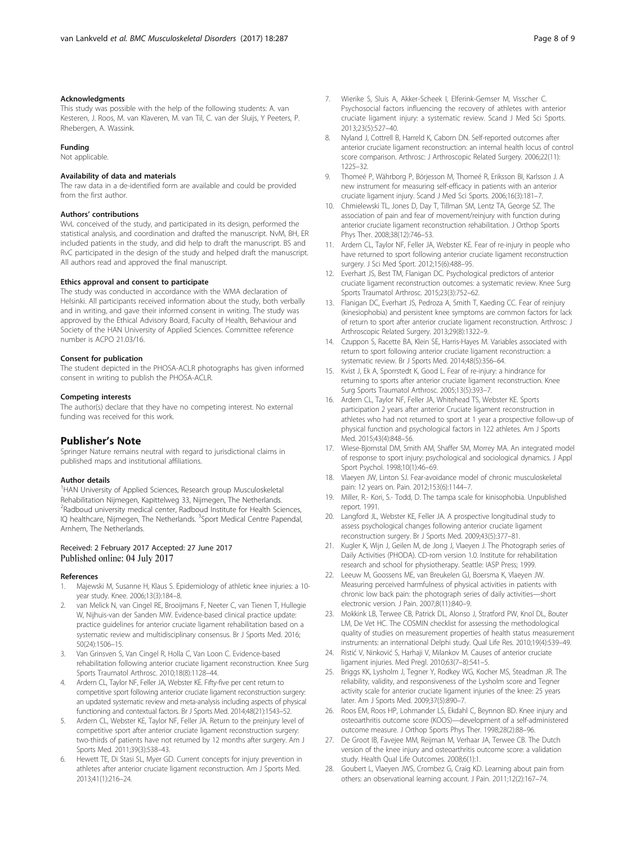#### <span id="page-7-0"></span>Acknowledgments

This study was possible with the help of the following students: A. van Kesteren, J. Roos, M. van Klaveren, M. van Til, C. van der Sluijs, Y Peeters, P. Rhebergen, A. Wassink.

#### Funding

Not applicable.

#### Availability of data and materials

The raw data in a de-identified form are available and could be provided from the first author.

#### Authors' contributions

WvL conceived of the study, and participated in its design, performed the statistical analysis, and coordination and drafted the manuscript. NvM, BH, ER included patients in the study, and did help to draft the manuscript. BS and RvC participated in the design of the study and helped draft the manuscript. All authors read and approved the final manuscript.

#### Ethics approval and consent to participate

The study was conducted in accordance with the WMA declaration of Helsinki. All participants received information about the study, both verbally and in writing, and gave their informed consent in writing. The study was approved by the Ethical Advisory Board, Faculty of Health, Behaviour and Society of the HAN University of Applied Sciences. Committee reference number is ACPO 21.03/16.

#### Consent for publication

The student depicted in the PHOSA-ACLR photographs has given informed consent in writing to publish the PHOSA-ACLR.

#### Competing interests

The author(s) declare that they have no competing interest. No external funding was received for this work.

#### Publisher's Note

Springer Nature remains neutral with regard to jurisdictional claims in published maps and institutional affiliations.

#### Author details

<sup>1</sup>HAN University of Applied Sciences, Research group Musculoskeletal Rehabilitation Nijmegen, Kapittelweg 33, Nijmegen, The Netherlands. <sup>2</sup>Radboud university medical center, Radboud Institute for Health Sciences, IQ healthcare, Nijmegen, The Netherlands. <sup>3</sup>Sport Medical Centre Papendal, Arnhem, The Netherlands.

#### Received: 2 February 2017 Accepted: 27 June 2017 Published online: 04 July 2017

#### References

- 1. Majewski M, Susanne H, Klaus S. Epidemiology of athletic knee injuries: a 10 year study. Knee. 2006;13(3):184–8.
- 2. van Melick N, van Cingel RE, Brooijmans F, Neeter C, van Tienen T, Hullegie W, Nijhuis-van der Sanden MW. Evidence-based clinical practice update: practice guidelines for anterior cruciate ligament rehabilitation based on a systematic review and multidisciplinary consensus. Br J Sports Med. 2016; 50(24):1506–15.
- 3. Van Grinsven S, Van Cingel R, Holla C, Van Loon C. Evidence-based rehabilitation following anterior cruciate ligament reconstruction. Knee Surg Sports Traumatol Arthrosc. 2010;18(8):1128–44.
- Ardern CL, Taylor NF, Feller JA, Webster KE. Fifty-five per cent return to competitive sport following anterior cruciate ligament reconstruction surgery: an updated systematic review and meta-analysis including aspects of physical functioning and contextual factors. Br J Sports Med. 2014;48(21):1543–52.
- 5. Ardern CL, Webster KE, Taylor NF, Feller JA. Return to the preinjury level of competitive sport after anterior cruciate ligament reconstruction surgery: two-thirds of patients have not returned by 12 months after surgery. Am J Sports Med. 2011;39(3):538–43.
- 6. Hewett TE, Di Stasi SL, Myer GD. Current concepts for injury prevention in athletes after anterior cruciate ligament reconstruction. Am J Sports Med. 2013;41(1):216–24.
- 7. Wierike S, Sluis A, Akker-Scheek I, Elferink-Gemser M, Visscher C. Psychosocial factors influencing the recovery of athletes with anterior cruciate ligament injury: a systematic review. Scand J Med Sci Sports. 2013;23(5):527–40.
- 8. Nyland J, Cottrell B, Harreld K, Caborn DN. Self-reported outcomes after anterior cruciate ligament reconstruction: an internal health locus of control score comparison. Arthrosc: J Arthroscopic Related Surgery. 2006;22(11): 1225–32.
- 9. Thomeé P, Währborg P, Börjesson M, Thomeé R, Eriksson BI, Karlsson J. A new instrument for measuring self-efficacy in patients with an anterior cruciate ligament injury. Scand J Med Sci Sports. 2006;16(3):181–7.
- 10. Chmielewski TL, Jones D, Day T, Tillman SM, Lentz TA, George SZ. The association of pain and fear of movement/reinjury with function during anterior cruciate ligament reconstruction rehabilitation. J Orthop Sports Phys Ther. 2008;38(12):746–53.
- 11. Ardern CL, Taylor NF, Feller JA, Webster KE. Fear of re-injury in people who have returned to sport following anterior cruciate ligament reconstruction surgery. J Sci Med Sport. 2012;15(6):488–95.
- 12. Everhart JS, Best TM, Flanigan DC. Psychological predictors of anterior cruciate ligament reconstruction outcomes: a systematic review. Knee Surg Sports Traumatol Arthrosc. 2015;23(3):752–62.
- 13. Flanigan DC, Everhart JS, Pedroza A, Smith T, Kaeding CC. Fear of reinjury (kinesiophobia) and persistent knee symptoms are common factors for lack of return to sport after anterior cruciate ligament reconstruction. Arthrosc: J Arthroscopic Related Surgery. 2013;29(8):1322–9.
- 14. Czuppon S, Racette BA, Klein SE, Harris-Hayes M. Variables associated with return to sport following anterior cruciate ligament reconstruction: a systematic review. Br J Sports Med. 2014;48(5):356–64.
- 15. Kvist J, Ek A, Sporrstedt K, Good L. Fear of re-injury: a hindrance for returning to sports after anterior cruciate ligament reconstruction. Knee Surg Sports Traumatol Arthrosc. 2005;13(5):393–7.
- 16. Ardern CL, Taylor NF, Feller JA, Whitehead TS, Webster KE. Sports participation 2 years after anterior Cruciate ligament reconstruction in athletes who had not returned to sport at 1 year a prospective follow-up of physical function and psychological factors in 122 athletes. Am J Sports Med. 2015;43(4):848–56.
- 17. Wiese-Bjornstal DM, Smith AM, Shaffer SM, Morrey MA. An integrated model of response to sport injury: psychological and sociological dynamics. J Appl Sport Psychol. 1998;10(1):46–69.
- 18. Vlaeyen JW, Linton SJ. Fear-avoidance model of chronic musculoskeletal pain: 12 years on. Pain. 2012;153(6):1144–7.
- 19. Miller, R.- Kori, S.- Todd, D. The tampa scale for kinisophobia. Unpublished report. 1991.
- 20. Langford JL, Webster KE, Feller JA. A prospective longitudinal study to assess psychological changes following anterior cruciate ligament reconstruction surgery. Br J Sports Med. 2009;43(5):377–81.
- 21. Kugler K, Wijn J, Geilen M, de Jong J, Vlaeyen J. The Photograph series of Daily Activities (PHODA). CD-rom version 1.0. Institute for rehabilitation research and school for physiotherapy. Seattle: IASP Press; 1999.
- 22. Leeuw M, Goossens ME, van Breukelen GJ, Boersma K, Vlaeyen JW. Measuring perceived harmfulness of physical activities in patients with chronic low back pain: the photograph series of daily activities—short electronic version. J Pain. 2007;8(11):840–9.
- 23. Mokkink LB, Terwee CB, Patrick DL, Alonso J, Stratford PW, Knol DL, Bouter LM, De Vet HC. The COSMIN checklist for assessing the methodological quality of studies on measurement properties of health status measurement instruments: an international Delphi study. Qual Life Res. 2010;19(4):539–49.
- 24. Ristić V, Ninković S, Harhaji V, Milankov M. Causes of anterior cruciate ligament injuries. Med Pregl. 2010;63(7–8):541–5.
- 25. Briggs KK, Lysholm J, Tegner Y, Rodkey WG, Kocher MS, Steadman JR. The reliability, validity, and responsiveness of the Lysholm score and Tegner activity scale for anterior cruciate ligament injuries of the knee: 25 years later. Am J Sports Med. 2009;37(5):890–7.
- 26. Roos EM, Roos HP, Lohmander LS, Ekdahl C, Beynnon BD. Knee injury and osteoarthritis outcome score (KOOS)—development of a self-administered outcome measure. J Orthop Sports Phys Ther. 1998;28(2):88–96.
- 27. De Groot IB, Favejee MM, Reijman M, Verhaar JA, Terwee CB. The Dutch version of the knee injury and osteoarthritis outcome score: a validation study. Health Qual Life Outcomes. 2008;6(1):1.
- 28. Goubert L, Vlaeyen JWS, Crombez G, Craig KD. Learning about pain from others: an observational learning account. J Pain. 2011;12(2):167–74.